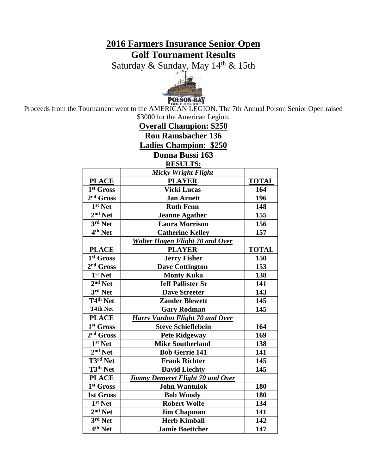# **2016 Farmers Insurance Senior Open Golf Tournament Results**

Saturday & Sunday, May 14<sup>th</sup> & 15th



Proceeds from the Tournament went to the AMERICAN LEGION. The 7th Annual Polson Senior Open raised \$3000 for the American Legion.

**Overall Champion: \$250 Ron Ramsbacher 136 Ladies Champion: \$250 Donna Bussi 163**

**RESULTS:**

|                                  | <b>Micky Wright Flight</b>              |              |
|----------------------------------|-----------------------------------------|--------------|
| <b>PLACE</b>                     | <b>PLAYER</b>                           | <b>TOTAL</b> |
| 1st Gross                        | <b>Vicki Lucas</b>                      | 164          |
| 2 <sup>nd</sup> Gross            | <b>Jan Arnett</b>                       | 196          |
| 1 <sup>st</sup> Net              | <b>Ruth Fenn</b>                        | 148          |
| $2nd$ Net                        | <b>Jeanne Agather</b>                   | 155          |
| $3rd$ Net                        | <b>Laura Morrison</b>                   | 156          |
| $\overline{4^{th}}$ Net          | <b>Catherine Kelley</b>                 | 157          |
|                                  | <b>Walter Hagen Flight 70 and Over</b>  |              |
| <b>PLACE</b>                     | <b>PLAYER</b>                           | <b>TOTAL</b> |
| 1 <sup>st</sup> Gross            | <b>Jerry Fisher</b>                     | 150          |
| $2nd$ Gross                      | <b>Dave Cottington</b>                  | 153          |
| 1st Net                          | <b>Monty Kuka</b>                       | 138          |
| $2nd$ Net                        | <b>Jeff Pallister Sr</b>                | 141          |
| 3rd Net                          | <b>Dave Streeter</b>                    | 143          |
| T <sub>4th</sub> Net             | <b>Zander Blewett</b>                   | 145          |
| <b>T4th Net</b>                  | <b>Gary Rodman</b>                      | 145          |
| <b>PLACE</b>                     | Harry Vardon Flight 70 and Over         |              |
| 1 <sup>st</sup> Gross            | <b>Steve Schieflebein</b>               | 164          |
| 2 <sup>nd</sup> Gross            | <b>Pete Ridgeway</b>                    | 169          |
| $\overline{1}$ <sup>st</sup> Net | <b>Mike Southerland</b>                 | 138          |
| $2nd$ Net                        | <b>Bob Gerrie 141</b>                   | 141          |
| $\overline{T3^{rd}}$ Net         | <b>Frank Richter</b>                    | 145          |
| T3 <sup>th</sup> Net             | <b>David Liechty</b>                    | 145          |
| <b>PLACE</b>                     | <b>Jimmy Demeret Flight 70 and Over</b> |              |
| 1 <sup>st</sup> Gross            | <b>John Wantulok</b>                    | 180          |
| <b>1st Gross</b>                 | <b>Bob Woody</b>                        | 180          |
| 1 <sup>st</sup> Net              | <b>Robert Wolfe</b>                     | 134          |
| $2nd$ Net                        | <b>Jim Chapman</b>                      | 141          |
| 3rd Net                          | <b>Herb Kimball</b>                     | 142          |
| $\overline{4^{th}}$ Net          | <b>Jamie Boettcher</b>                  | 147          |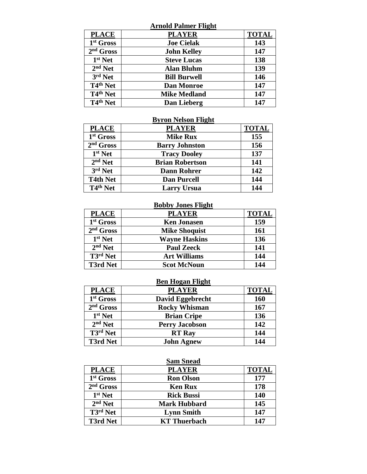|                                 | <b>Arnold Palmer Flight</b> |              |
|---------------------------------|-----------------------------|--------------|
| <b>PLACE</b>                    | <b>PLAYER</b>               | <b>TOTAL</b> |
| 1st Gross                       | <b>Joe Cielak</b>           | 143          |
| $2nd$ Gross                     | <b>John Kelley</b>          | 147          |
| $1st$ Net                       | <b>Steve Lucas</b>          | 138          |
| $2nd$ Net                       | <b>Alan Bluhm</b>           | 139          |
| 3rd Net                         | <b>Bill Burwell</b>         | 146          |
| T <sub>4th</sub> Net            | <b>Dan Monroe</b>           | 147          |
| T4 <sup>th</sup> Net            | <b>Mike Medland</b>         | 147          |
| T <sub>4<sup>th</sup> Net</sub> | Dan Lieberg                 | 147          |

# **Byron Nelson Flight**

| <b>PLACE</b>          | <b>PLAYER</b>          | <b>TOTAL</b> |
|-----------------------|------------------------|--------------|
| 1 <sup>st</sup> Gross | <b>Mike Rux</b>        | 155          |
| $2nd$ Gross           | <b>Barry Johnston</b>  | 156          |
| $1st$ Net             | <b>Tracy Dooley</b>    | 137          |
| $2nd$ Net             | <b>Brian Robertson</b> | 141          |
| $3rd$ Net             | <b>Dann Rohrer</b>     | 142          |
| <b>T4th Net</b>       | <b>Dan Purcell</b>     | 144          |
| T4 <sup>th</sup> Net  | <b>Larry Ursua</b>     | 144          |

#### **Bobby Jones Flight**

| <b>PLACE</b>                             | <b>PLAYER</b>        | <b>TOTAL</b> |
|------------------------------------------|----------------------|--------------|
| 1 <sup>st</sup> Gross                    | <b>Ken Jonasen</b>   | 159          |
| $2nd$ Gross                              | <b>Mike Shoquist</b> | 161          |
| $1st$ Net                                | <b>Wayne Haskins</b> | 136          |
| $2nd$ Net                                | <b>Paul Zeeck</b>    | 141          |
| $\overline{\text{T}3}$ <sup>rd</sup> Net | <b>Art Williams</b>  | 144          |
| <b>T3rd Net</b>                          | <b>Scot McNoun</b>   | 144          |

# **Ben Hogan Flight**

| <b>PLACE</b>                  | <b>PLAYER</b>           | <b>TOTAL</b> |
|-------------------------------|-------------------------|--------------|
| 1st Gross                     | <b>David Eggebrecht</b> | 160          |
| $2nd$ Gross                   | <b>Rocky Whisman</b>    | 167          |
| $1st$ Net                     | <b>Brian Cripe</b>      | 136          |
| $2nd$ Net                     | <b>Perry Jacobson</b>   | 142          |
| $\overline{\text{T3}}$ rd Net | <b>RT</b> Ray           | 144          |
| <b>T3rd Net</b>               | <b>John Agnew</b>       | 144          |

#### **Sam Snead**

| <b>PLACE</b>          | <b>PLAYER</b>       | <b>TOTAL</b> |
|-----------------------|---------------------|--------------|
| 1 <sup>st</sup> Gross | <b>Ron Olson</b>    | 177          |
| $2nd$ Gross           | <b>Ken Rux</b>      | 178          |
| $1st$ Net             | <b>Rick Bussi</b>   | 140          |
| $2nd$ Net             | <b>Mark Hubbard</b> | 145          |
| T3 <sup>rd</sup> Net  | <b>Lynn Smith</b>   | 147          |
| <b>T3rd Net</b>       | <b>KT</b> Thuerbach | 147          |